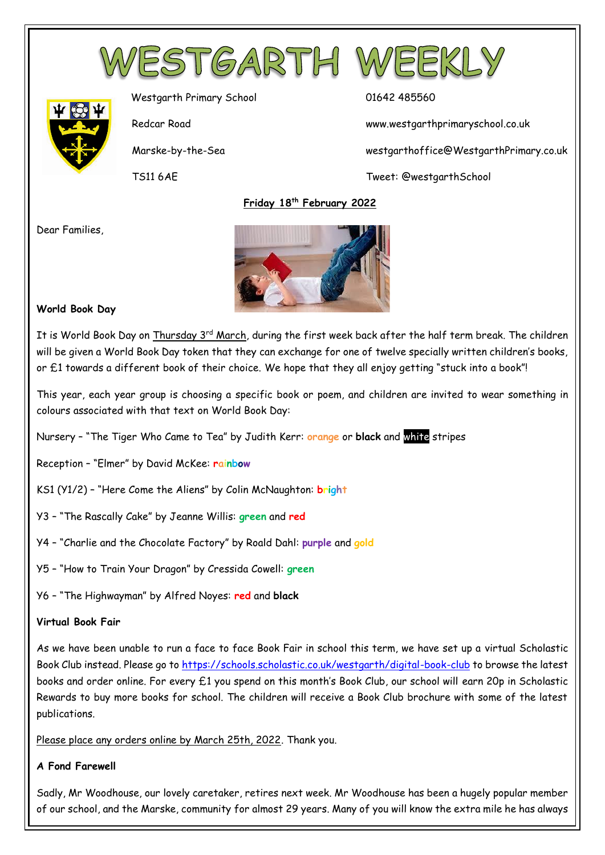



Westgarth Primary School 01642 485560

Redcar Road www.westgarthprimaryschool.co.uk

Marske-by-the-Sea westgarthoffice@WestgarthPrimary.co.uk

TS11 6AE Tweet: @westgarthSchool

 **Friday 18th February 2022**

Dear Families,



# **World Book Day**

It is World Book Day on Thursday 3<sup>rd</sup> March, during the first week back after the half term break. The children will be given a World Book Day token that they can exchange for one of twelve specially written children's books, or £1 towards a different book of their choice. We hope that they all enjoy getting "stuck into a book"!

This year, each year group is choosing a specific book or poem, and children are invited to wear something in colours associated with that text on World Book Day:

Nursery – "The Tiger Who Came to Tea" by Judith Kerr: **orange** or **black** and white stripes

Reception – "Elmer" by David McKee: **rainbow**

- KS1 (Y1/2) "Here Come the Aliens" by Colin McNaughton: **bright**
- Y3 "The Rascally Cake" by Jeanne Willis: **green** and **red**
- Y4 "Charlie and the Chocolate Factory" by Roald Dahl: **purple** and **gold**
- Y5 "How to Train Your Dragon" by Cressida Cowell: **green**
- Y6 "The Highwayman" by Alfred Noyes: **red** and **black**

### **Virtual Book Fair**

As we have been unable to run a face to face Book Fair in school this term, we have set up a virtual Scholastic Book Club instead. Please go to<https://schools.scholastic.co.uk/westgarth/digital-book-club> to browse the latest books and order online. For every £1 you spend on this month's Book Club, our school will earn 20p in Scholastic Rewards to buy more books for school. The children will receive a Book Club brochure with some of the latest publications.

Please place any orders online by March 25th, 2022. Thank you.

### **A Fond Farewell**

Sadly, Mr Woodhouse, our lovely caretaker, retires next week. Mr Woodhouse has been a hugely popular member of our school, and the Marske, community for almost 29 years. Many of you will know the extra mile he has always